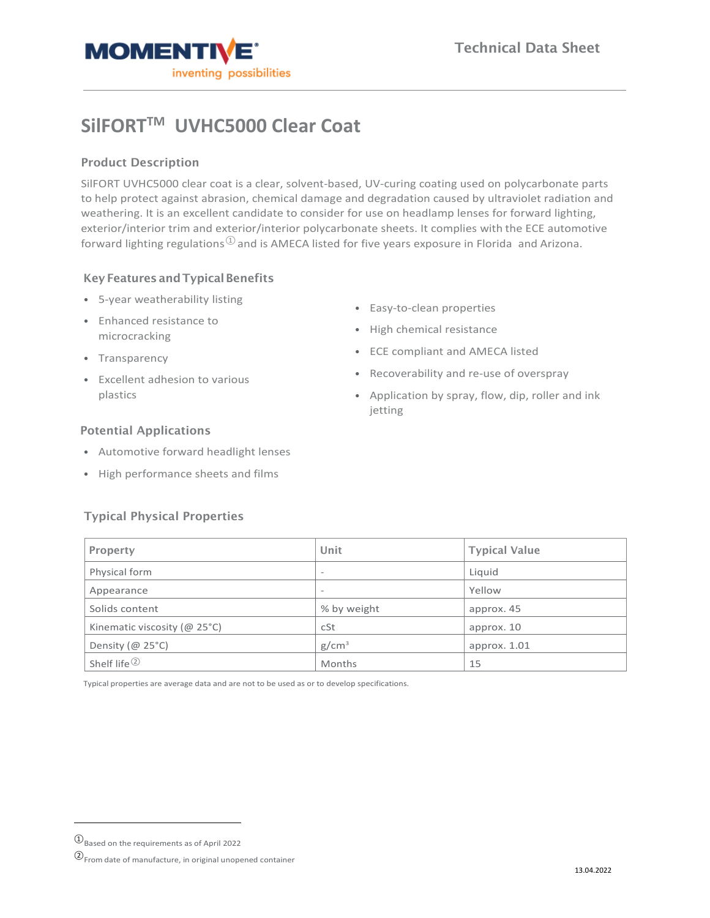

# **SilFORTTM UVHC5000 Clear Coat**

## Product Description

SilFORT UVHC5000 clear coat is a clear, solvent-based, UV-curing coating used on polycarbonate parts to help protect against abrasion, chemical damage and degradation caused by ultraviolet radiation and weathering. It is an excellent candidate to consider for use on headlamp lenses for forward lighting, exterior/interior trim and exterior/interior polycarbonate sheets. It complies with the ECE automotive forward lighting regulations  $\mathbb{D}$  and is AMECA listed for five years exposure in Florida and Arizona.

## Key Features and Typical Benefits

- 5-year weatherability listing
- Enhanced resistance to microcracking
- Transparency
- Excellent adhesion to various plastics
- Easy-to-clean properties
- High chemical resistance
- ECE compliant and AMECA listed
- Recoverability and re-use of overspray
- Application by spray, flow, dip, roller and ink jetting

## Potential Applications

- Automotive forward headlight lenses
- High performance sheets and films

#### Typical Physical Properties

| <b>Property</b>                 | Unit                     | <b>Typical Value</b> |
|---------------------------------|--------------------------|----------------------|
| Physical form                   | $\overline{\phantom{a}}$ | Liquid               |
| Appearance                      | $\overline{\phantom{a}}$ | Yellow               |
| Solids content                  | % by weight              | approx. 45           |
| Kinematic viscosity ( $@$ 25°C) | cSt                      | approx. 10           |
| Density ( $@$ 25°C)             | g/cm <sup>3</sup>        | approx. 1.01         |
| Shelf life <sup>2</sup>         | Months                   | 15                   |

Typical properties are average data and are not to be used as or to develop specifications.

<span id="page-0-0"></span> $\textcircled{1}$  Based on the requirements as of April 2022

<span id="page-0-1"></span><sup>②</sup>From date of manufacture, in original unopened container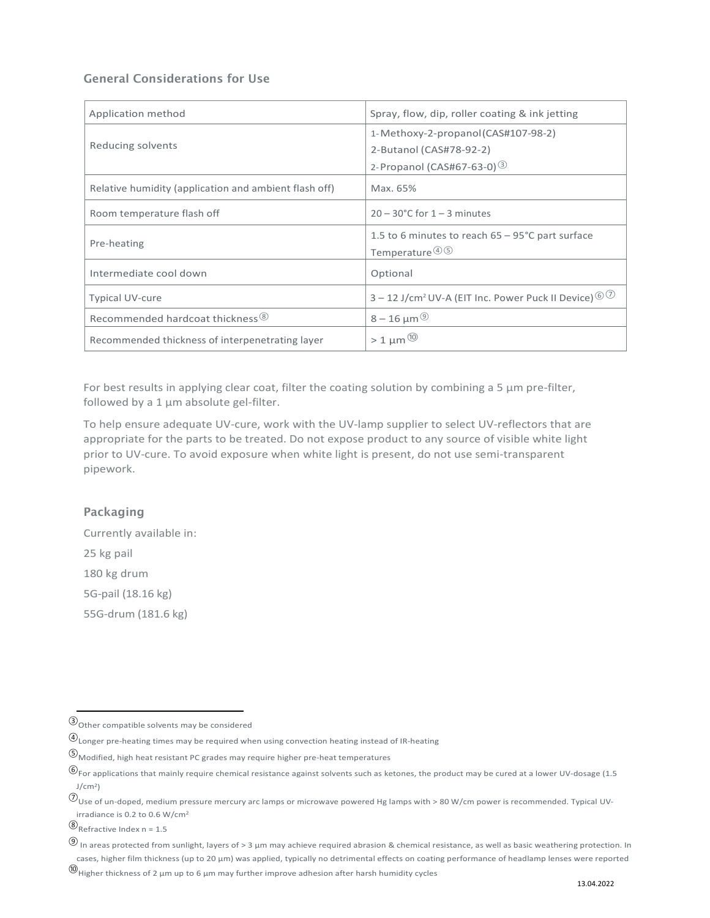## General Considerations for Use

| Application method                                    | Spray, flow, dip, roller coating & ink jetting                                                               |  |  |
|-------------------------------------------------------|--------------------------------------------------------------------------------------------------------------|--|--|
| Reducing solvents                                     | 1-Methoxy-2-propanol (CAS#107-98-2)<br>2-Butanol (CAS#78-92-2)<br>2- Propanol (CAS#67-63-0) 3                |  |  |
| Relative humidity (application and ambient flash off) | Max. 65%                                                                                                     |  |  |
| Room temperature flash off                            | $20 - 30^{\circ}$ C for $1 - 3$ minutes                                                                      |  |  |
| Pre-heating                                           | 1.5 to 6 minutes to reach $65 - 95^{\circ}$ C part surface<br>Temperature $\textcircled{1}\,\textcircled{5}$ |  |  |
| Intermediate cool down                                | Optional                                                                                                     |  |  |
| <b>Typical UV-cure</b>                                | $3 - 12$ J/cm <sup>2</sup> UV-A (EIT Inc. Power Puck II Device) $\circledcirc$                               |  |  |
| Recommended hardcoat thickness 8                      | $8 - 16 \mu m^{(9)}$                                                                                         |  |  |
| Recommended thickness of interpenetrating layer       | $>1 \mu m^{(0)}$                                                                                             |  |  |

For best results in applying clear coat, filter the coating solution by combining a 5  $\mu$ m pre-filter, followed by a  $1 \mu m$  absolute gel-filter.

To help ensure adequate UV-cure, work with the UV-lamp supplier to select UV-reflectors that are appropriate for the parts to be treated. Do not expose product to any source of visible white light prior to UV-cure. To avoid exposure when white light is present, do not use semi-transparent pipework.

#### Packaging

Currently available in: 25 kg pail 180 kg drum 5G-pail (18.16 kg) 55G-drum (181.6 kg)

<span id="page-1-0"></span><sup>③</sup>Other compatible solvents may be considered

<span id="page-1-1"></span> $\circledA$  Longer pre-heating times may be required when using convection heating instead of IR-heating

<span id="page-1-2"></span><sup>⑤</sup>Modified, high heat resistant PC grades may require higher pre-heat temperatures

<span id="page-1-3"></span><sup>⑥</sup>For applications that mainly require chemical resistance against solvents such as ketones, the product may be cured at a lower UV-dosage (1.5  $J/cm<sup>2</sup>$ 

<span id="page-1-4"></span> $\oslash$ Use of un-doped, medium pressure mercury arc lamps or microwave powered Hg lamps with > 80 W/cm power is recommended. Typical UVirradiance is 0.2 to 0.6 W/cm2

<span id="page-1-5"></span><sup>⑧</sup>Refractive Index n = 1.5

<span id="page-1-6"></span><sup>⑨</sup> In areas protected from sunlight, layers of > 3 µm may achieve required abrasion & chemical resistance, as well as basic weathering protection. In cases, higher film thickness (up to 20 µm) was applied, typically no detrimental effects on coating performance of headlamp lenses were reported

<span id="page-1-7"></span> $<sup>®</sup>$ Higher thickness of 2 μm up to 6 μm may further improve adhesion after harsh humidity cycles</sup>